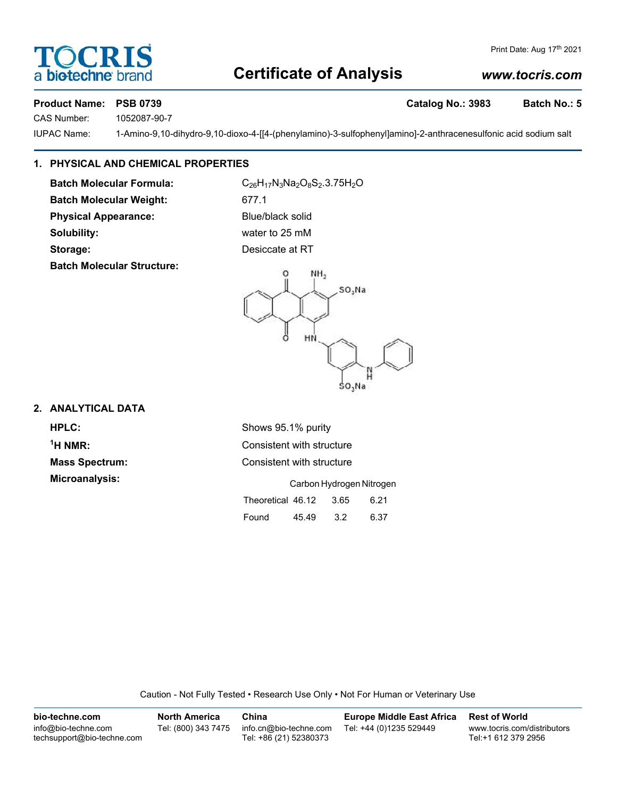### **Certificate of Analysis**

# Print Date: Aug 17th 2021

#### **Product Name: PSB 0739 Catalog No.: 3983 Batch No.: 5**

**SCRI** 

CAS Number: 1052087-90-7

a biotechne

IUPAC Name: 1-Amino-9,10-dihydro-9,10-dioxo-4-[[4-(phenylamino)-3-sulfophenyl]amino]-2-anthracenesulfonic acid sodium salt

#### **1. PHYSICAL AND CHEMICAL PROPERTIES**

**Batch Molecular Weight:** 677.1

**Batch Molecular Structure:**

Batch Molecular Formula: C<sub>26</sub>H<sub>17</sub>N<sub>3</sub>Na<sub>2</sub>O<sub>8</sub>S<sub>2</sub>.3.75H<sub>2</sub>O **Physical Appearance:** Blue/black solid **Solubility:** water to 25 mM **Storage:** Desiccate at RT



#### **2. ANALYTICAL DATA**

 $<sup>1</sup>H NMR$ :</sup>

**HPLC:** Shows 95.1% purity **Consistent with structure Mass Spectrum:** Consistent with structure **Microanalysis:** Carbon Hydrogen Nitrogen Theoretical 46.12 3.65 6.21 Found 45.49 3.2 6.37

Caution - Not Fully Tested • Research Use Only • Not For Human or Veterinary Use

| bio-techne.com                                    | <b>North America</b> | China                                            | <b>Europe Middle East Africa</b> | <b>Rest of World</b>                               |
|---------------------------------------------------|----------------------|--------------------------------------------------|----------------------------------|----------------------------------------------------|
| info@bio-techne.com<br>techsupport@bio-techne.com | Tel: (800) 343 7475  | info.cn@bio-techne.com<br>Tel: +86 (21) 52380373 | Tel: +44 (0)1235 529449          | www.tocris.com/distributors<br>Tel:+1 612 379 2956 |

## *www.tocris.com*